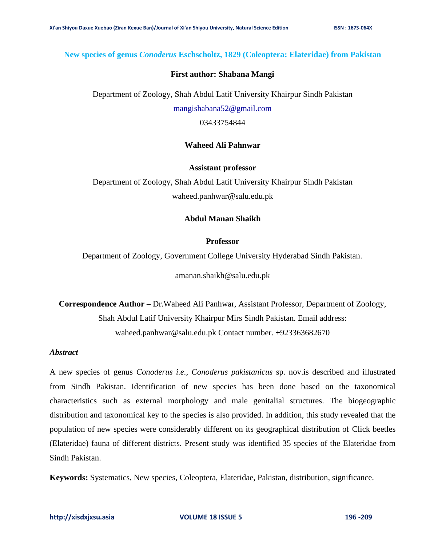# **New species of genus** *Conoderus* **Eschscholtz, 1829 (Coleoptera: Elateridae) from Pakistan**

#### **First author: Shabana Mangi**

Department of Zoology, Shah Abdul Latif University Khairpur Sindh Pakistan

[mangishabana52@gmail.com](mailto:mangishabana52@gmail.com)

03433754844

# **Waheed Ali Pahnwar**

#### **Assistant professor**

Department of Zoology, Shah Abdul Latif University Khairpur Sindh Pakistan waheed.panhwar@salu.edu.pk

## **Abdul Manan Shaikh**

#### **Professor**

Department of Zoology, Government College University Hyderabad Sindh Pakistan.

amanan.shaikh@salu.edu.pk

**Correspondence Author –** Dr.Waheed Ali Panhwar, Assistant Professor, Department of Zoology, Shah Abdul Latif University Khairpur Mirs Sindh Pakistan. Email address: waheed.panhwar@salu.edu.pk Contact number. +923363682670

# *Abstract*

A new species of genus *Conoderus i.e., Conoderus pakistanicus* sp. nov.is described and illustrated from Sindh Pakistan. Identification of new species has been done based on the taxonomical characteristics such as external morphology and male genitalial structures. The biogeographic distribution and taxonomical key to the species is also provided. In addition, this study revealed that the population of new species were considerably different on its geographical distribution of Click beetles (Elateridae) fauna of different districts. Present study was identified 35 species of the Elateridae from Sindh Pakistan.

**Keywords:** Systematics, New species, Coleoptera, Elateridae, Pakistan, distribution, significance.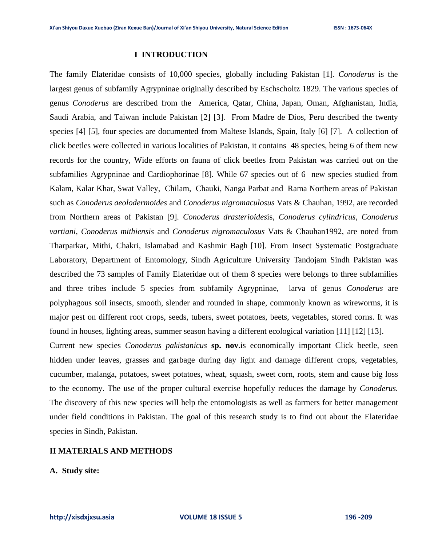#### **I INTRODUCTION**

The family Elateridae consists of 10,000 species, globally including Pakistan [1]. *Conoderus* is the largest genus of subfamily Agrypninae originally described by Eschscholtz 1829. The various species of genus *Conoderus* are described from the America, Qatar, China, Japan, Oman, Afghanistan, India, Saudi Arabia, and Taiwan include Pakistan [2] [3]. From Madre de Dios, Peru described the twenty species [4] [5], four species are documented from Maltese Islands, Spain, Italy [6] [7]. A collection of click beetles were collected in various localities of Pakistan, it contains 48 species, being 6 of them new records for the country, Wide efforts on fauna of click beetles from Pakistan was carried out on the subfamilies Agrypninae and Cardiophorinae [8]. While 67 species out of 6 new species studied from Kalam, Kalar Khar, Swat Valley, Chilam, Chauki, Nanga Parbat and Rama Northern areas of Pakistan such as *Conoderus aeolodermoides* and *Conoderus nigromaculosus* Vats & Chauhan, 1992, are recorded from Northern areas of Pakistan [9]. *Conoderus drasterioides*is, *Conoderus cylindricus, Conoderus vartiani*, *Conoderus mithiensis* and *Conoderus nigromaculosus* Vats & Chauhan1992, are noted from Tharparkar*,* Mithi, Chakri, Islamabad and Kashmir Bagh [10]. From Insect Systematic Postgraduate Laboratory, Department of Entomology, Sindh Agriculture University Tandojam Sindh Pakistan was described the 73 samples of Family Elateridae out of them 8 species were belongs to three subfamilies and three tribes include 5 species from subfamily Agrypninae*,* larva of genus *Conoderus* are polyphagous soil insects, smooth, slender and rounded in shape, commonly known as wireworms, it is major pest on different root crops, seeds, tubers, sweet potatoes, beets, vegetables, stored corns. It was found in houses, lighting areas, summer season having a different ecological variation [11] [12] [13].

Current new species *Conoderus pakistanicus* **sp. nov**.is economically important Click beetle, seen hidden under leaves, grasses and garbage during day light and damage different crops, vegetables, cucumber, malanga, potatoes, sweet potatoes, wheat, squash, sweet corn, roots, stem and cause big loss to the economy. The use of the proper cultural exercise hopefully reduces the damage by *Conoderus.*  The discovery of this new species will help the entomologists as well as farmers for better management under field conditions in Pakistan. The goal of this research study is to find out about the Elateridae species in Sindh, Pakistan.

## **II MATERIALS AND METHODS**

**A. Study site:**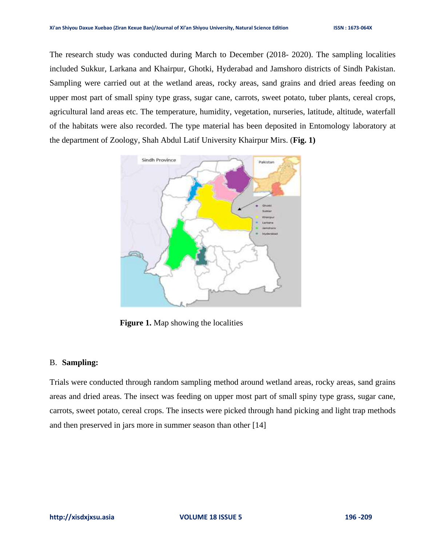The research study was conducted during March to December (2018- 2020). The sampling localities included Sukkur, Larkana and Khairpur, Ghotki, Hyderabad and Jamshoro districts of Sindh Pakistan. Sampling were carried out at the wetland areas, rocky areas, sand grains and dried areas feeding on upper most part of small spiny type grass, sugar cane, carrots, sweet potato, tuber plants, cereal crops, agricultural land areas etc. The temperature, humidity, vegetation, nurseries, latitude, altitude, waterfall of the habitats were also recorded. The type material has been deposited in Entomology laboratory at the department of Zoology, Shah Abdul Latif University Khairpur Mirs. (**Fig. 1)**



**Figure 1.** Map showing the localities

## B. **Sampling:**

Trials were conducted through random sampling method around wetland areas, rocky areas, sand grains areas and dried areas. The insect was feeding on upper most part of small spiny type grass, sugar cane, carrots, sweet potato, cereal crops. The insects were picked through hand picking and light trap methods and then preserved in jars more in summer season than other [14]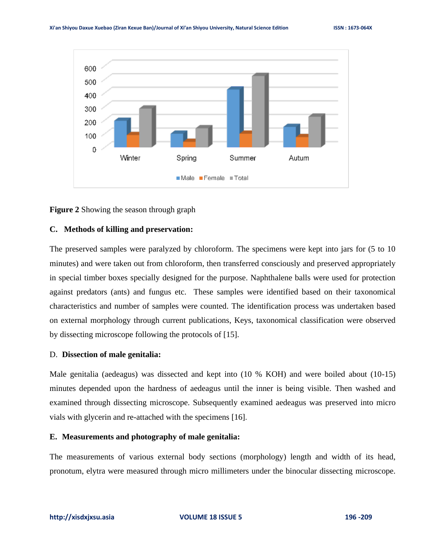



#### **C. Methods of killing and preservation:**

The preserved samples were paralyzed by chloroform. The specimens were kept into jars for (5 to 10 minutes) and were taken out from chloroform, then transferred consciously and preserved appropriately in special timber boxes specially designed for the purpose. Naphthalene balls were used for protection against predators (ants) and fungus etc. These samples were identified based on their taxonomical characteristics and number of samples were counted. The identification process was undertaken based on external morphology through current publications, Keys, taxonomical classification were observed by dissecting microscope following the protocols of [15].

#### D. **Dissection of male genitalia:**

Male genitalia (aedeagus) was dissected and kept into (10 % KOH) and were boiled about (10-15) minutes depended upon the hardness of aedeagus until the inner is being visible. Then washed and examined through dissecting microscope. Subsequently examined aedeagus was preserved into micro vials with glycerin and re-attached with the specimens [16].

## **E. Measurements and photography of male genitalia:**

The measurements of various external body sections (morphology) length and width of its head, pronotum, elytra were measured through micro millimeters under the binocular dissecting microscope.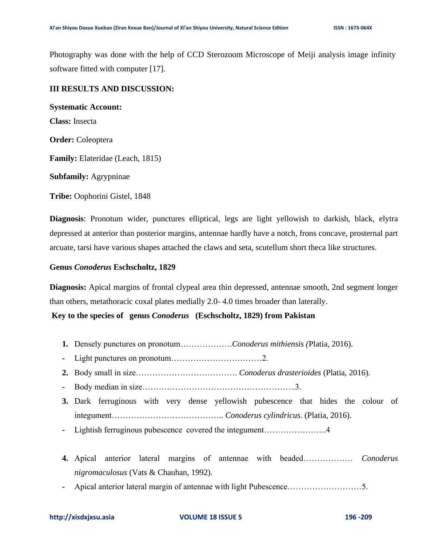Photography was done with the help of CCD Sterozoom Microscope of Meiji analysis image infinity software fitted with computer [17].

# **III RESULTS AND DISCUSSION:**

**Systematic Account: Class:** Insecta **Order:** Coleoptera **Family:** Elateridae (Leach, 1815) **Subfamily:** Agrypninae

**Tribe:** Oophorini Gistel, 1848

**Diagnosis**: Pronotum wider, punctures elliptical, legs are light yellowish to darkish, black, elytra depressed at anterior than posterior margins, antennae hardly have a notch, frons concave, prosternal part arcuate, tarsi have various shapes attached the claws and seta, scutellum short theca like structures.

## **Genus** *Conoderus* **Eschscholtz, 1829**

**Diagnosis:** Apical margins of frontal clypeal area thin depressed, antennae smooth, 2nd segment longer than others, metathoracic coxal plates medially 2.0- 4.0 times broader than laterally.

**Key to the species of genus** *Conoderus* **(Eschscholtz, 1829) from Pakistan**

- **1.** Densely punctures on pronotum……………….*Conoderus mithiensis (*Platia, 2016).
- **-** Light punctures on pronotum……………………………2.
- **2.** Body small in size………………………………. *Conoderus drasterioides* (Platia, 2016).
- **-** Body median in size………………………………………………..3.
- **3.** Dark ferruginous with very dense yellowish pubescence that hides the colour of integument………………………………….. *Conoderus cylindricus.* (Platia, 2016).
- **-** Lightish ferruginous pubescence covered the integument…………………..4
- **4.** Apical anterior lateral margins of antennae with beaded……………… *Conoderus nigromaculosus* (Vats & Chauhan, 1992).
- **-** Apical anterior lateral margin of antennae with light Pubescence………………………5.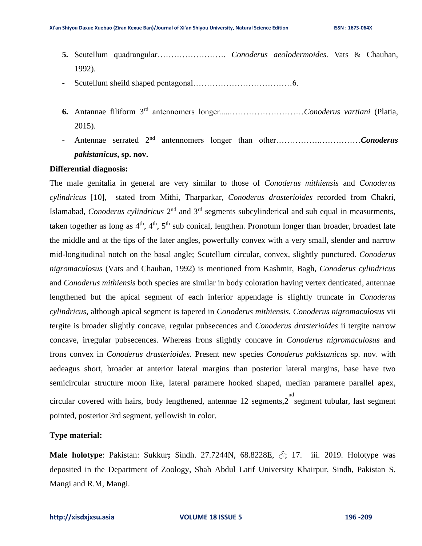- **5.** Scutellum quadrangular……………………. *Conoderus aeolodermoides.* Vats & Chauhan, 1992).
- **-** Scutellum sheild shaped pentagonal………………………………6.
- **6.** Antannae filiform 3rd antennomers longer.....………………………*Conoderus vartiani* (Platia, 2015).
- **-** Antennae serrated 2nd antennomers longer than other…………….……………*Conoderus pakistanicus***, sp. nov.**

## **Differential diagnosis:**

The male genitalia in general are very similar to those of *Conoderus mithiensis* and *Conoderus cylindricus* [10], stated from Mithi, Tharparkar, *Conoderus drasterioides* recorded from Chakri, Islamabad, *Conoderus cylindricus* 2<sup>nd</sup> and 3<sup>rd</sup> segments subcylinderical and sub equal in measurments, taken together as long as  $4<sup>th</sup>$ ,  $4<sup>th</sup>$ ,  $5<sup>th</sup>$  sub conical, lengthen. Pronotum longer than broader, broadest late the middle and at the tips of the later angles, powerfully convex with a very small, slender and narrow mid-longitudinal notch on the basal angle; Scutellum circular, convex, slightly punctured. *Conoderus nigromaculosus* (Vats and Chauhan, 1992) is mentioned from Kashmir, Bagh, *Conoderus cylindricus* and *Conoderus mithiensis* both species are similar in body coloration having vertex denticated, antennae lengthened but the apical segment of each inferior appendage is slightly truncate in *Conoderus cylindricus*, although apical segment is tapered in *Conoderus mithiensis. Conoderus nigromaculosus* vii tergite is broader slightly concave, regular pubsecences and *Conoderus drasterioides* ii tergite narrow concave, irregular pubsecences. Whereas frons slightly concave in *Conoderus nigromaculosus* and frons convex in *Conoderus drasterioides.* Present new species *Conoderus pakistanicus* sp. nov. with aedeagus short, broader at anterior lateral margins than posterior lateral margins, base have two semicircular structure moon like, lateral paramere hooked shaped, median paramere parallel apex, circular covered with hairs, body lengthened, antennae 12 segments,2 segment tubular, last segment nd pointed, posterior 3rd segment, yellowish in color.

# **Type material:**

**Male holotype**: Pakistan: Sukkur; Sindh. 27.7244N, 68.8228E, ♂; 17. iii. 2019. Holotype was deposited in the Department of Zoology, Shah Abdul Latif University Khairpur, Sindh, Pakistan S. Mangi and R.M, Mangi.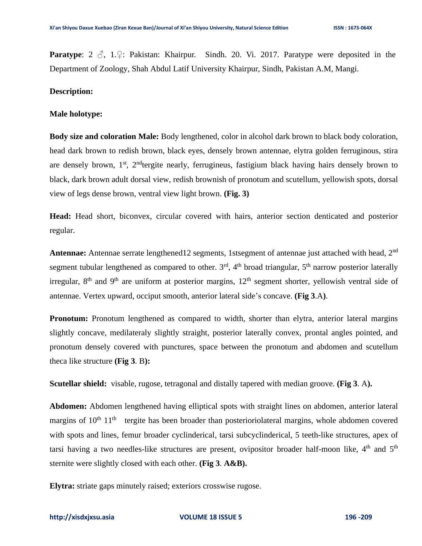**Paratype**: 2 ♂, 1.♀: Pakistan: Khairpur. Sindh. 20. Vi. 2017. Paratype were deposited in the Department of Zoology, Shah Abdul Latif University Khairpur, Sindh, Pakistan A.M, Mangi.

#### **Description:**

#### **Male holotype:**

**Body size and coloration Male:** Body lengthened, color in alcohol dark brown to black body coloration, head dark brown to redish brown, black eyes, densely brown antennae, elytra golden ferruginous, stira are densely brown, 1<sup>st</sup>, 2<sup>nd</sup>tergite nearly, ferrugineus, fastigium black having hairs densely brown to black, dark brown adult dorsal view, redish brownish of pronotum and scutellum, yellowish spots, dorsal view of legs dense brown, ventral view light brown. **(Fig. 3)**

**Head:** Head short, biconvex, circular covered with hairs, anterior section denticated and posterior regular.

**Antennae:** Antennae serrate lengthened12 segments, 1stsegment of antennae just attached with head, 2<sup>nd</sup> segment tubular lengthened as compared to other.  $3<sup>rd</sup>$ ,  $4<sup>th</sup>$  broad triangular,  $5<sup>th</sup>$  narrow posterior laterally irregular,  $8<sup>th</sup>$  and  $9<sup>th</sup>$  are uniform at posterior margins,  $12<sup>th</sup>$  segment shorter, yellowish ventral side of antennae. Vertex upward, occiput smooth, anterior lateral side's concave. **(Fig 3**.A**)**.

**Pronotum:** Pronotum lengthened as compared to width, shorter than elytra, anterior lateral margins slightly concave, medilateraly slightly straight, posterior laterally convex, prontal angles pointed, and pronotum densely covered with punctures, space between the pronotum and abdomen and scutellum theca like structure **(Fig 3**. B**):**

**Scutellar shield:** visable, rugose, tetragonal and distally tapered with median groove. **(Fig 3**. A**).**

**Abdomen:** Abdomen lengthened having elliptical spots with straight lines on abdomen, anterior lateral margins of 10<sup>th</sup> 11<sup>th</sup> tergite has been broader than posterioriolateral margins, whole abdomen covered with spots and lines, femur broader cyclinderical, tarsi subcyclinderical, 5 teeth-like structures, apex of tarsi having a two needles-like structures are present, ovipositor broader half-moon like,  $4<sup>th</sup>$  and  $5<sup>th</sup>$ sternite were slightly closed with each other. **(Fig 3**. **A&B).**

**Elytra:** striate gaps minutely raised; exteriors crosswise rugose.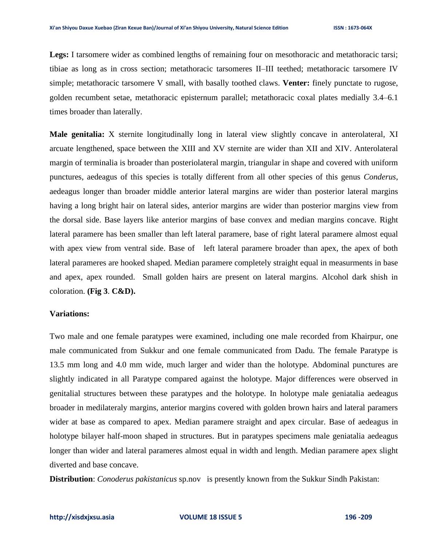Legs: I tarsomere wider as combined lengths of remaining four on mesothoracic and metathoracic tarsi; tibiae as long as in cross section; metathoracic tarsomeres II–III teethed; metathoracic tarsomere IV simple; metathoracic tarsomere V small, with basally toothed claws. **Venter:** finely punctate to rugose, golden recumbent setae, metathoracic episternum parallel; metathoracic coxal plates medially 3.4–6.1 times broader than laterally.

**Male genitalia:** X sternite longitudinally long in lateral view slightly concave in anterolateral, XI arcuate lengthened, space between the XIII and XV sternite are wider than XII and XIV. Anterolateral margin of terminalia is broader than posteriolateral margin, triangular in shape and covered with uniform punctures, aedeagus of this species is totally different from all other species of this genus *Conderus*, aedeagus longer than broader middle anterior lateral margins are wider than posterior lateral margins having a long bright hair on lateral sides, anterior margins are wider than posterior margins view from the dorsal side. Base layers like anterior margins of base convex and median margins concave. Right lateral paramere has been smaller than left lateral paramere, base of right lateral paramere almost equal with apex view from ventral side. Base of left lateral paramere broader than apex, the apex of both lateral parameres are hooked shaped. Median paramere completely straight equal in measurments in base and apex, apex rounded. Small golden hairs are present on lateral margins. Alcohol dark shish in coloration. **(Fig 3**. **C&D).**

#### **Variations:**

Two male and one female paratypes were examined, including one male recorded from Khairpur, one male communicated from Sukkur and one female communicated from Dadu. The female Paratype is 13.5 mm long and 4.0 mm wide, much larger and wider than the holotype. Abdominal punctures are slightly indicated in all Paratype compared against the holotype. Major differences were observed in genitalial structures between these paratypes and the holotype. In holotype male geniatalia aedeagus broader in medilateraly margins, anterior margins covered with golden brown hairs and lateral paramers wider at base as compared to apex. Median paramere straight and apex circular. Base of aedeagus in holotype bilayer half-moon shaped in structures. But in paratypes specimens male geniatalia aedeagus longer than wider and lateral parameres almost equal in width and length. Median paramere apex slight diverted and base concave.

**Distribution**: *Conoderus pakistanicus* sp.nov is presently known from the Sukkur Sindh Pakistan:

#### **[http://xisdxjxsu.asia](http://xisdxjxsu.asia/) VOLUME 18 ISSUE 5 196 -209**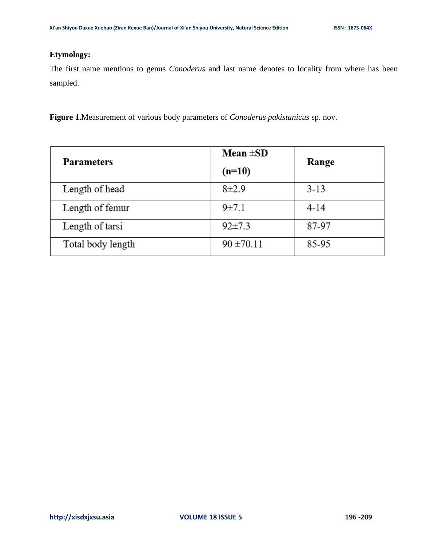# **Etymology:**

The first name mentions to genus *Conoderus* and last name denotes to locality from where has been sampled.

**Figure 1.**Measurement of various body parameters of *Conoderus pakistanicus* sp. nov.

| <b>Parameters</b> | Mean $\pm SD$  | Range  |
|-------------------|----------------|--------|
|                   | $(n=10)$       |        |
| Length of head    | $8\pm2.9$      | $3-13$ |
| Length of femur   | 9 ± 7.1        | $4-14$ |
| Length of tarsi   | $92 \pm 7.3$   | 87-97  |
| Total body length | $90 \pm 70.11$ | 85-95  |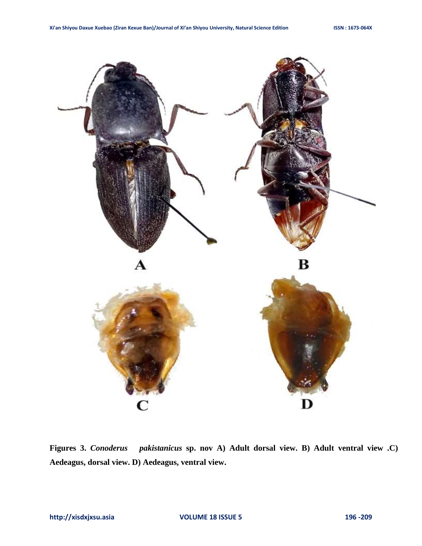

**Figures 3.** *Conoderus pakistanicus* **sp. nov A) Adult dorsal view. B) Adult ventral view .C) Aedeagus, dorsal view. D) Aedeagus, ventral view.**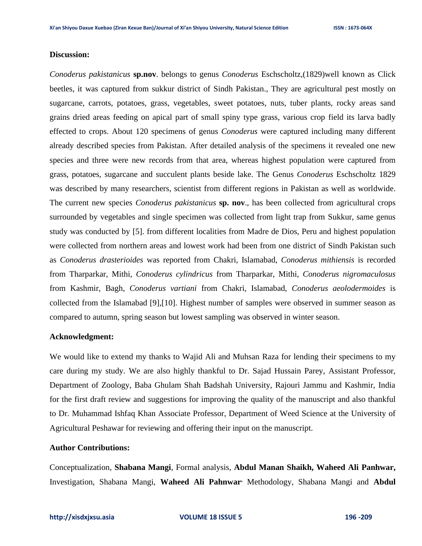#### **Discussion:**

*Conoderus pakistanicus* **sp.nov**. belongs to genus *Conoderus* Eschscholtz,(1829)well known as Click beetles, it was captured from sukkur district of Sindh Pakistan., They are agricultural pest mostly on sugarcane, carrots, potatoes, grass, vegetables, sweet potatoes, nuts, tuber plants, rocky areas sand grains dried areas feeding on apical part of small spiny type grass, various crop field its larva badly effected to crops. About 120 specimens of genus *Conoderus* were captured including many different already described species from Pakistan. After detailed analysis of the specimens it revealed one new species and three were new records from that area, whereas highest population were captured from grass, potatoes, sugarcane and succulent plants beside lake. The Genus *Conoderus* Eschscholtz 1829 was described by many researchers, scientist from different regions in Pakistan as well as worldwide. The current new species *Conoderus pakistanicus* **sp. nov**., has been collected from agricultural crops surrounded by vegetables and single specimen was collected from light trap from Sukkur, same genus study was conducted by [5]. from different localities from Madre de Dios, Peru and highest population were collected from northern areas and lowest work had been from one district of Sindh Pakistan such as *Conoderus drasterioides* was reported from Chakri, Islamabad, *Conoderus mithiensis* is recorded from Tharparkar*,* Mithi, *Conoderus cylindricus* from Tharparkar, Mithi*, Conoderus nigromaculosus* from Kashmir, Bagh*, Conoderus vartiani* from Chakri, Islamabad, *Conoderus aeolodermoides* is collected from the Islamabad [9],[10]. Highest number of samples were observed in summer season as compared to autumn, spring season but lowest sampling was observed in winter season.

#### **Acknowledgment:**

We would like to extend my thanks to Wajid Ali and Muhsan Raza for lending their specimens to my care during my study. We are also highly thankful to Dr. Sajad Hussain Parey, Assistant Professor, Department of Zoology, Baba Ghulam Shah Badshah University, Rajouri Jammu and Kashmir, India for the first draft review and suggestions for improving the quality of the manuscript and also thankful to Dr. Muhammad Ishfaq Khan Associate Professor, Department of Weed Science at the University of Agricultural Peshawar for reviewing and offering their input on the manuscript.

#### **Author Contributions:**

Conceptualization, **Shabana Mangi**, Formal analysis, **Abdul Manan Shaikh, Waheed Ali Panhwar,** Investigation, Shabana Mangi, **Waheed Ali Pahnwar,** Methodology, Shabana Mangi and **Abdul**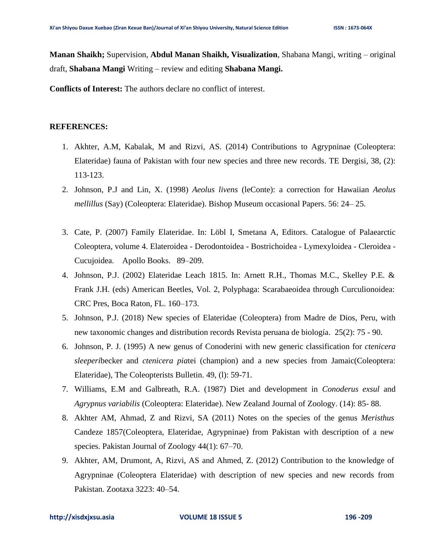**Manan Shaikh;** Supervision, **Abdul Manan Shaikh, Visualization**, Shabana Mangi, writing – original draft, **Shabana Mangi** Writing – review and editing **Shabana Mangi.**

**Conflicts of Interest:** The authors declare no conflict of interest.

#### **REFERENCES:**

- 1. Akhter, A.M, Kabalak, M and Rizvi, AS. (2014) Contributions to Agrypninae (Coleoptera: Elateridae) fauna of Pakistan with four new species and three new records. TE Dergisi*,* 38, (2): 113-123.
- 2. Johnson, P.J and Lin, X. (1998) *Aeolus livens* (leConte): a correction for Hawaiian *Aeolus mellillus* (Say) (Coleoptera: Elateridae). Bishop Museum occasional Papers. 56: 24– 25.
- 3. Cate, P. (2007) Family Elateridae. In: Löbl I, Smetana A, Editors. Catalogue of Palaearctic Coleoptera, volume 4. Elateroidea - Derodontoidea - Bostrichoidea - Lymexyloidea - Cleroidea - Cucujoidea. Apollo Books. 89–209.
- 4. Johnson, P.J. (2002) Elateridae Leach 1815. In: Arnett R.H., Thomas M.C., Skelley P.E. & Frank J.H. (eds) American Beetles, Vol. 2, Polyphaga: Scarabaeoidea through Curculionoidea: CRC Pres, Boca Raton, FL. 160–173.
- 5. Johnson, P.J. (2018) New species of Elateridae (Coleoptera) from Madre de Dios, Peru, with new taxonomic changes and distribution records Revista peruana de biología. 25(2): 75 - 90.
- 6. Johnson, P. J. (1995) A new genus of Conoderini with new generic classification for *ctenicera sleeperi*becker and *ctenicera pia*tei (champion) and a new species from Jamaic(Coleoptera: Elateridae), The Coleopterists Bulletin. 49, (l): 59-71.
- 7. Williams, E.M and Galbreath, R.A. (1987) Diet and development in *Conoderus exsul* and *Agrypnus variabilis* (Coleoptera: Elateridae). New Zealand Journal of Zoology. (14): 85- 88.
- 8. Akhter AM, Ahmad, Z and Rizvi, SA (2011) Notes on the species of the genus *Meristhus* Candeze 1857(Coleoptera, Elateridae, Agrypninae) from Pakistan with description of a new species. Pakistan Journal of Zoology 44(1): 67–70.
- 9. Akhter, AM, Drumont, A, Rizvi, AS and Ahmed, Z. (2012) Contribution to the knowledge of Agrypninae (Coleoptera Elateridae) with description of new species and new records from Pakistan. Zootaxa 3223: 40–54.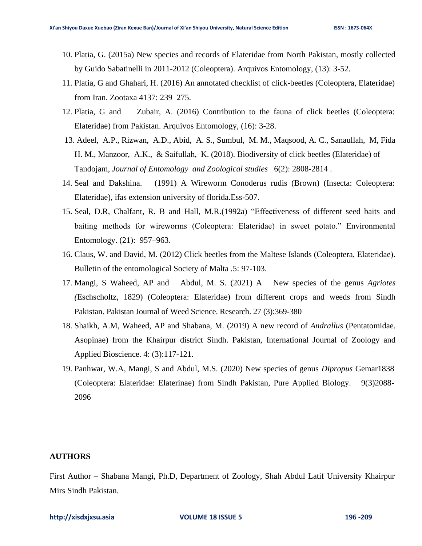- 10. Platia, G. (2015a) New species and records of Elateridae from North Pakistan, mostly collected by Guido Sabatinelli in 2011-2012 (Coleoptera). Arquivos Entomology, (13): 3-52.
- 11. Platia, G and Ghahari, H. (2016) An annotated checklist of click-beetles (Coleoptera, Elateridae) from Iran. Zootaxa 4137: 239–275.
- 12. Platia, G and Zubair, A. (2016) Contribution to the fauna of click beetles (Coleoptera: Elateridae) from Pakistan. Arquivos Entomology, (16): 3-28.
- 13. Adeel, A.P., Rizwan, A.D., Abid, A. S., Sumbul, M. M., Maqsood, A. C., Sanaullah, M, Fida H. M., Manzoor, A.K., & Saifullah, K. (2018). Biodiversity of click beetles (Elateridae) of Tandojam, *Journal of Entomology and Zoological studies* 6(2): 2808-2814 .
- 14. Seal and Dakshina. (1991) A Wireworm Conoderus rudis (Brown) (Insecta: Coleoptera: Elateridae), ifas extension university of florida.Ess-507.
- 15. Seal, D.R, Chalfant, R. B and Hall, M.R.(1992a) "Effectiveness of different seed baits and baiting methods for wireworms (Coleoptera: Elateridae) in sweet potato." Environmental Entomology. (21): 957–963.
- 16. Claus, W. and David, M. (2012) Click beetles from the Maltese Islands (Coleoptera, Elateridae). Bulletin of the entomological Society of Malta *.*5: 97-103.
- 17. Mangi, S Waheed, AP and Abdul, M. S. (2021) A New species of the genus *Agriotes (*Eschscholtz, 1829) (Coleoptera: Elateridae) from different crops and weeds from Sindh Pakistan. Pakistan Journal of Weed Science. Research. 27 (3):369-380
- 18. Shaikh, A.M, Waheed, AP and Shabana, M. (2019) A new record of *Andrallus* (Pentatomidae. Asopinae) from the Khairpur district Sindh. Pakistan, International Journal of Zoology and Applied Bioscience. 4: (3):117-121.
- 19. Panhwar, W.A, Mangi, S and Abdul, M.S. (2020) New species of genus *Dipropus* Gemar1838 (Coleoptera: Elateridae: Elaterinae) from Sindh Pakistan, Pure Applied Biology. 9(3)2088- 2096

## **AUTHORS**

First Author – Shabana Mangi, Ph.D, Department of Zoology, Shah Abdul Latif University Khairpur Mirs Sindh Pakistan.